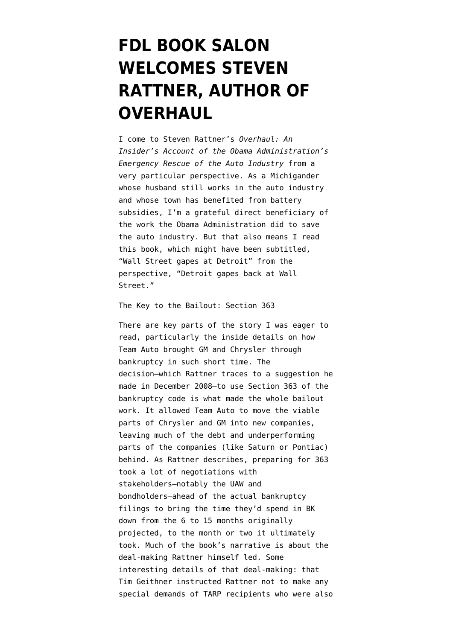## **[FDL BOOK SALON](https://www.emptywheel.net/2010/10/30/fdl-book-salon-welcomes-steven-rattner-author-of-overhaul/) [WELCOMES STEVEN](https://www.emptywheel.net/2010/10/30/fdl-book-salon-welcomes-steven-rattner-author-of-overhaul/) [RATTNER, AUTHOR OF](https://www.emptywheel.net/2010/10/30/fdl-book-salon-welcomes-steven-rattner-author-of-overhaul/) [OVERHAUL](https://www.emptywheel.net/2010/10/30/fdl-book-salon-welcomes-steven-rattner-author-of-overhaul/)**

I come to Steven Rattner's *Overhaul: An Insider's Account of the Obama Administration's Emergency Rescue of the Auto Industry* from a very particular perspective. As a Michigander whose husband still works in the auto industry and whose town has benefited from battery subsidies, I'm a grateful direct beneficiary of the work the Obama Administration did to save the auto industry. But that also means I read this book, which might have been subtitled, "Wall Street gapes at Detroit" from the perspective, "Detroit gapes back at Wall Street."

The Key to the Bailout: Section 363

There are key parts of the story I was eager to read, particularly the inside details on how Team Auto brought GM and Chrysler through bankruptcy in such short time. The decision–which Rattner traces to a suggestion he made in December 2008–to use Section 363 of the bankruptcy code is what made the whole bailout work. It allowed Team Auto to move the viable parts of Chrysler and GM into new companies, leaving much of the debt and underperforming parts of the companies (like Saturn or Pontiac) behind. As Rattner describes, preparing for 363 took a lot of negotiations with stakeholders–notably the UAW and bondholders–ahead of the actual bankruptcy filings to bring the time they'd spend in BK down from the 6 to 15 months originally projected, to the month or two it ultimately took. Much of the book's narrative is about the deal-making Rattner himself led. Some interesting details of that deal-making: that Tim Geithner instructed Rattner not to make any special demands of TARP recipients who were also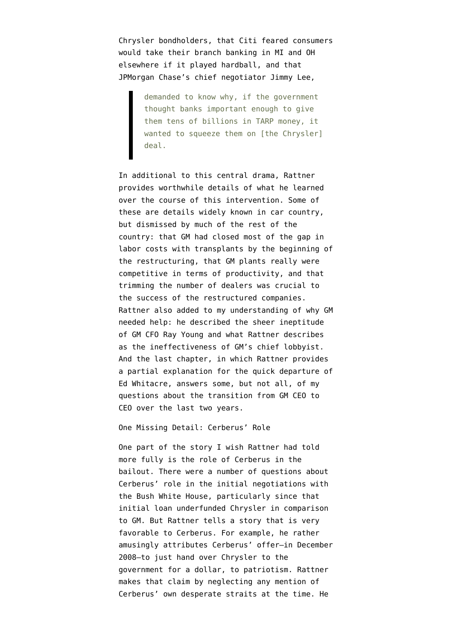Chrysler bondholders, that Citi feared consumers would take their branch banking in MI and OH elsewhere if it played hardball, and that JPMorgan Chase's chief negotiator Jimmy Lee,

> demanded to know why, if the government thought banks important enough to give them tens of billions in TARP money, it wanted to squeeze them on [the Chrysler] deal.

In additional to this central drama, Rattner provides worthwhile details of what he learned over the course of this intervention. Some of these are details widely known in car country, but dismissed by much of the rest of the country: that GM had closed most of the gap in labor costs with transplants by the beginning of the restructuring, that GM plants really were competitive in terms of productivity, and that trimming the number of dealers was crucial to the success of the restructured companies. Rattner also added to my understanding of why GM needed help: he described the sheer ineptitude of GM CFO Ray Young and what Rattner describes as the ineffectiveness of GM's chief lobbyist. And the last chapter, in which Rattner provides a partial explanation for the quick departure of Ed Whitacre, answers some, but not all, of my questions about the transition from GM CEO to CEO over the last two years.

One Missing Detail: Cerberus' Role

One part of the story I wish Rattner had told more fully is the role of Cerberus in the bailout. There were a [number of questions](http://online.wsj.com/article/SB122999624092529041.html?mod=googlenews_wsj) about Cerberus' role in the initial negotiations with the Bush White House, particularly since that initial loan underfunded Chrysler in comparison to GM. But Rattner tells a story that is very favorable to Cerberus. For example, he rather amusingly attributes Cerberus' offer–in December 2008–to just hand over Chrysler to the government for a dollar, to patriotism. Rattner makes that claim by neglecting any mention of Cerberus' own desperate straits at the time. He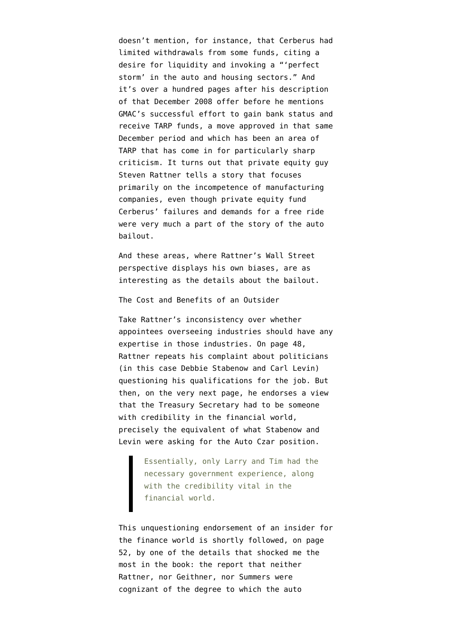doesn't mention, for instance, that Cerberus had [limited withdrawals](http://dealbreaker.com/images/thumbs/cerberus_letter.pdf) from some funds, citing a desire for liquidity and invoking a "'perfect storm' in the auto and housing sectors." And it's over a hundred pages after his description of that December 2008 offer before he mentions GMAC's successful effort to gain bank status and receive TARP funds, a move approved in that same December period and which has been an area of TARP that has come in for [particularly sharp](http://cop.senate.gov/reports/library/report-031110-cop.cfm) [criticism.](http://cop.senate.gov/reports/library/report-031110-cop.cfm) It turns out that private equity guy Steven Rattner tells a story that focuses primarily on the incompetence of manufacturing companies, even though private equity fund Cerberus' failures and demands for a free ride were very much a part of the story of the auto bailout.

And these areas, where Rattner's Wall Street perspective displays his own biases, are as interesting as the details about the bailout.

The Cost and Benefits of an Outsider

Take Rattner's inconsistency over whether appointees overseeing industries should have any expertise in those industries. On page 48, Rattner repeats his complaint about politicians (in this case Debbie Stabenow and Carl Levin) questioning his qualifications for the job. But then, on the very next page, he endorses a view that the Treasury Secretary had to be someone with credibility in the financial world, precisely the equivalent of what Stabenow and Levin were asking for the Auto Czar position.

> Essentially, only Larry and Tim had the necessary government experience, along with the credibility vital in the financial world.

This unquestioning endorsement of an insider for the finance world is shortly followed, on page 52, by one of the details that shocked me the most in the book: the report that neither Rattner, nor Geithner, nor Summers were cognizant of the degree to which the auto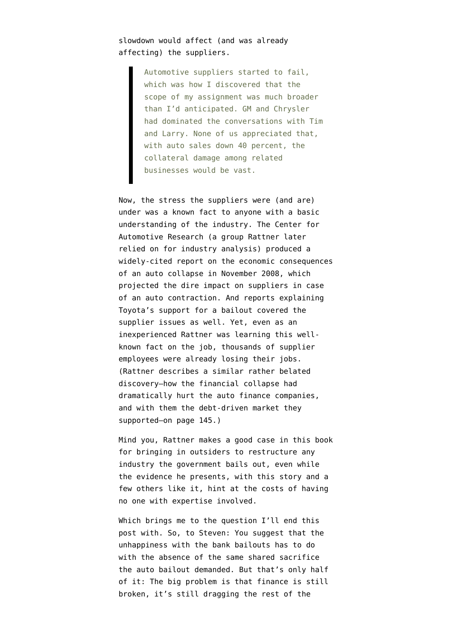## slowdown would affect (and was already affecting) the suppliers.

Automotive suppliers started to fail, which was how I discovered that the scope of my assignment was much broader than I'd anticipated. GM and Chrysler had dominated the conversations with Tim and Larry. None of us appreciated that, with auto sales down 40 percent, the collateral damage among related businesses would be vast.

Now, the stress the suppliers were (and are) under was a known fact to anyone with a basic understanding of the industry. The Center for Automotive Research (a group Rattner later relied on for industry analysis) produced a [widely-cited report](http://www.cargroup.org/documents/Detroit_Three_Contraction_Impact.pdf) on the economic consequences of an auto collapse in November 2008, which projected the dire impact on suppliers in case of an auto contraction. And [reports explaining](http://money.cnn.com/2008/12/15/news/companies/overseas_automakers/?postversion=2008121517) Toyota's support for a bailout covered the supplier issues as well. Yet, even as an inexperienced Rattner was learning this wellknown fact on the job, thousands of supplier employees were already losing their jobs. (Rattner describes a similar rather belated discovery–how the financial collapse had dramatically hurt the auto finance companies, and with them the debt-driven market they supported–on page 145.)

Mind you, Rattner makes a good case in this book for bringing in outsiders to restructure any industry the government bails out, even while the evidence he presents, with this story and a few others like it, hint at the costs of having no one with expertise involved.

Which brings me to the question I'll end this post with. So, to Steven: You suggest that the unhappiness with the bank bailouts has to do with the absence of the same shared sacrifice the auto bailout demanded. But that's only half of it: The big problem is that finance is still broken, it's still dragging the rest of the